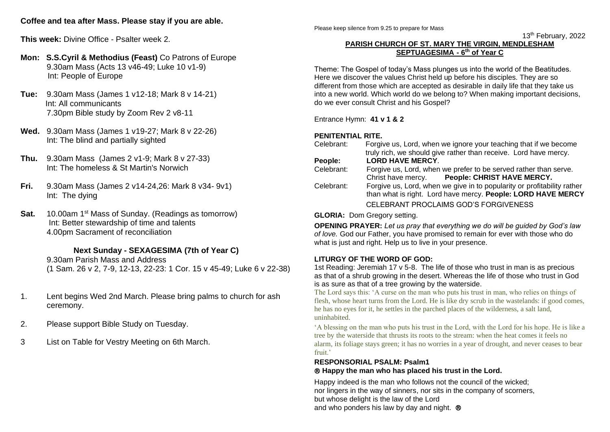# **Coffee and tea after Mass. Please stay if you are able.**

**This week:** Divine Office - Psalter week 2.

- **Mon: S.S.Cyril & Methodius (Feast)** Co Patrons of Europe 9.30am Mass (Acts 13 v46-49; Luke 10 v1-9) Int: People of Europe
- **Tue:** 9.30am Mass (James 1 v12-18; Mark 8 v 14-21) Int: All communicants 7.30pm Bible study by Zoom Rev 2 v8-11
- **Wed.** 9.30am Mass (James 1 v19-27; Mark 8 v 22-26) Int: The blind and partially sighted
- **Thu.** 9.30am Mass (James 2 v1-9; Mark 8 v 27-33) Int: The homeless & St Martin's Norwich
- **Fri.** 9.30am Mass (James 2 v14-24,26: Mark 8 v34- 9v1) Int: The dying
- **Sat.** 10.00am 1<sup>st</sup> Mass of Sunday. (Readings as tomorrow) Int: Better stewardship of time and talents 4.00pm Sacrament of reconciliation

## **Next Sunday - SEXAGESIMA (7th of Year C)**

9.30am Parish Mass and Address (1 Sam. 26 v 2, 7-9, 12-13, 22-23: 1 Cor. 15 v 45-49; Luke 6 v 22-38)

- 1. Lent begins Wed 2nd March. Please bring palms to church for ash ceremony.
- 2. Please support Bible Study on Tuesday.
- 3 List on Table for Vestry Meeting on 6th March.

Please keep silence from 9.25 to prepare for Mass

 $13$  $13<sup>th</sup>$  February, 2022

## **PARISH CHURCH OF ST. MARY THE VIRGIN, MENDLESHAM SEPTUAGESIMA - 6 th of Year C**

Theme: The Gospel of today's Mass plunges us into the world of the Beatitudes. Here we discover the values Christ held up before his disciples. They are so different from those which are accepted as desirable in daily life that they take us into a new world. Which world do we belong to? When making important decisions, do we ever consult Christ and his Gospel?

Entrance Hymn: **41 v 1 & 2**

# **PENITENTIAL RITE.**

| Celebrant: | Forgive us, Lord, when we ignore your teaching that if we become<br>truly rich, we should give rather than receive. Lord have mercy.    |
|------------|-----------------------------------------------------------------------------------------------------------------------------------------|
| People:    | <b>LORD HAVE MERCY.</b>                                                                                                                 |
| Celebrant: | Forgive us, Lord, when we prefer to be served rather than serve.<br>Christ have mercy. People: CHRIST HAVE MERCY.                       |
| Celebrant: | Forgive us, Lord, when we give in to popularity or profitability rather<br>than what is right. Lord have mercy. People: LORD HAVE MERCY |
|            | CELEBRANT PROCLAIMS GOD'S FORGIVENESS                                                                                                   |
|            |                                                                                                                                         |

**GLORIA:** Dom Gregory setting.

**OPENING PRAYER:** *Let us pray that everything we do will be guided by God's law of love.* God our Father, you have promised to remain for ever with those who do what is just and right. Help us to live in your presence.

## **LITURGY OF THE WORD OF GOD:**

1st Reading: Jeremiah 17 v 5-8. The life of those who trust in man is as precious as that of a shrub growing in the desert. Whereas the life of those who trust in God is as sure as that of a tree growing by the waterside.

The Lord says this: 'A curse on the man who puts his trust in man, who relies on things of flesh, whose heart turns from the Lord. He is like dry scrub in the wastelands: if good comes, he has no eyes for it, he settles in the parched places of the wilderness, a salt land, uninhabited.

'A blessing on the man who puts his trust in the Lord, with the Lord for his hope. He is like a tree by the waterside that thrusts its roots to the stream: when the heat comes it feels no alarm, its foliage stays green; it has no worries in a year of drought, and never ceases to bear fruit.'

# **RESPONSORIAL PSALM: Psalm1**

#### **Happy the man who has placed his trust in the Lord.**

Happy indeed is the man who follows not the council of the wicked; nor lingers in the way of sinners, nor sits in the company of scorners, but whose delight is the law of the Lord and who ponders his law by day and night. ®